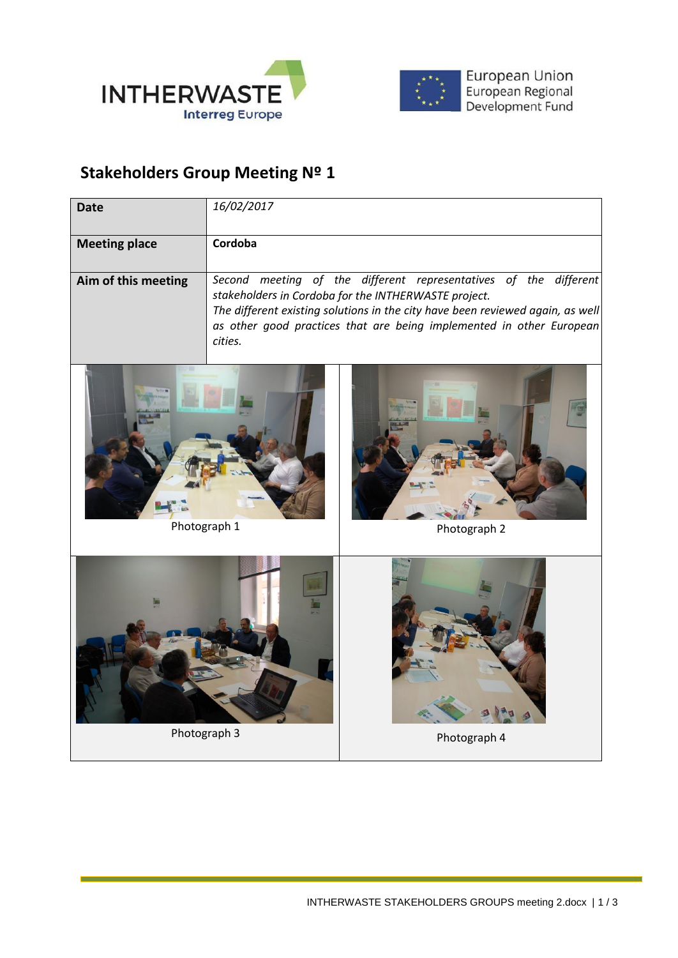



European Union<br>European Regional<br>Development Fund

## **Stakeholders Group Meeting Nº 1**

| Date                 | 16/02/2017                                                                                                                                                                                                                                                                                    |
|----------------------|-----------------------------------------------------------------------------------------------------------------------------------------------------------------------------------------------------------------------------------------------------------------------------------------------|
| <b>Meeting place</b> | Cordoba                                                                                                                                                                                                                                                                                       |
| Aim of this meeting  | Second meeting of the different representatives of the different<br>stakeholders in Cordoba for the INTHERWASTE project.<br>The different existing solutions in the city have been reviewed again, as well<br>as other good practices that are being implemented in other European<br>cities. |